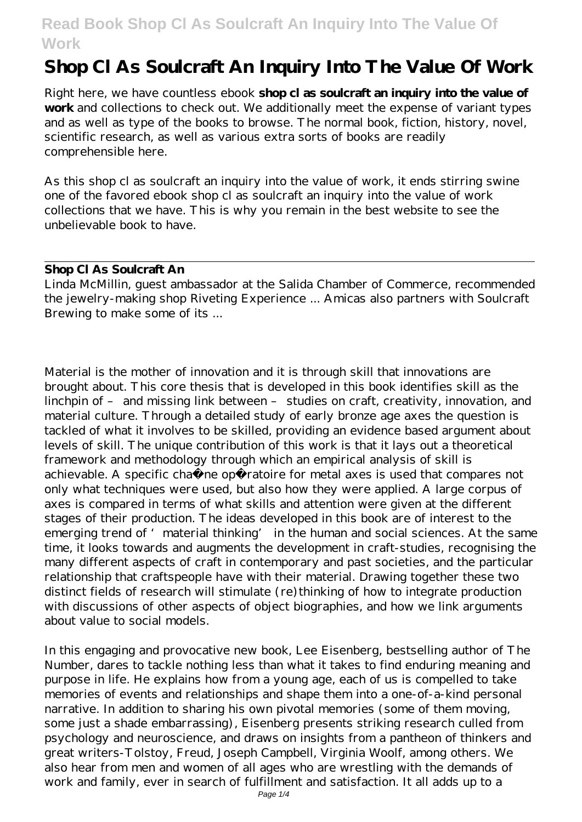# **Shop Cl As Soulcraft An Inquiry Into The Value Of Work**

Right here, we have countless ebook **shop cl as soulcraft an inquiry into the value of work** and collections to check out. We additionally meet the expense of variant types and as well as type of the books to browse. The normal book, fiction, history, novel, scientific research, as well as various extra sorts of books are readily comprehensible here.

As this shop cl as soulcraft an inquiry into the value of work, it ends stirring swine one of the favored ebook shop cl as soulcraft an inquiry into the value of work collections that we have. This is why you remain in the best website to see the unbelievable book to have.

#### **Shop Cl As Soulcraft An**

Linda McMillin, guest ambassador at the Salida Chamber of Commerce, recommended the jewelry-making shop Riveting Experience ... Amicas also partners with Soulcraft Brewing to make some of its ...

Material is the mother of innovation and it is through skill that innovations are brought about. This core thesis that is developed in this book identifies skill as the linchpin of – and missing link between – studies on craft, creativity, innovation, and material culture. Through a detailed study of early bronze age axes the question is tackled of what it involves to be skilled, providing an evidence based argument about levels of skill. The unique contribution of this work is that it lays out a theoretical framework and methodology through which an empirical analysis of skill is achievable. A specific chaîne opératoire for metal axes is used that compares not only what techniques were used, but also how they were applied. A large corpus of axes is compared in terms of what skills and attention were given at the different stages of their production. The ideas developed in this book are of interest to the emerging trend of 'material thinking' in the human and social sciences. At the same time, it looks towards and augments the development in craft-studies, recognising the many different aspects of craft in contemporary and past societies, and the particular relationship that craftspeople have with their material. Drawing together these two distinct fields of research will stimulate (re) thinking of how to integrate production with discussions of other aspects of object biographies, and how we link arguments about value to social models.

In this engaging and provocative new book, Lee Eisenberg, bestselling author of The Number, dares to tackle nothing less than what it takes to find enduring meaning and purpose in life. He explains how from a young age, each of us is compelled to take memories of events and relationships and shape them into a one-of-a-kind personal narrative. In addition to sharing his own pivotal memories (some of them moving, some just a shade embarrassing), Eisenberg presents striking research culled from psychology and neuroscience, and draws on insights from a pantheon of thinkers and great writers-Tolstoy, Freud, Joseph Campbell, Virginia Woolf, among others. We also hear from men and women of all ages who are wrestling with the demands of work and family, ever in search of fulfillment and satisfaction. It all adds up to a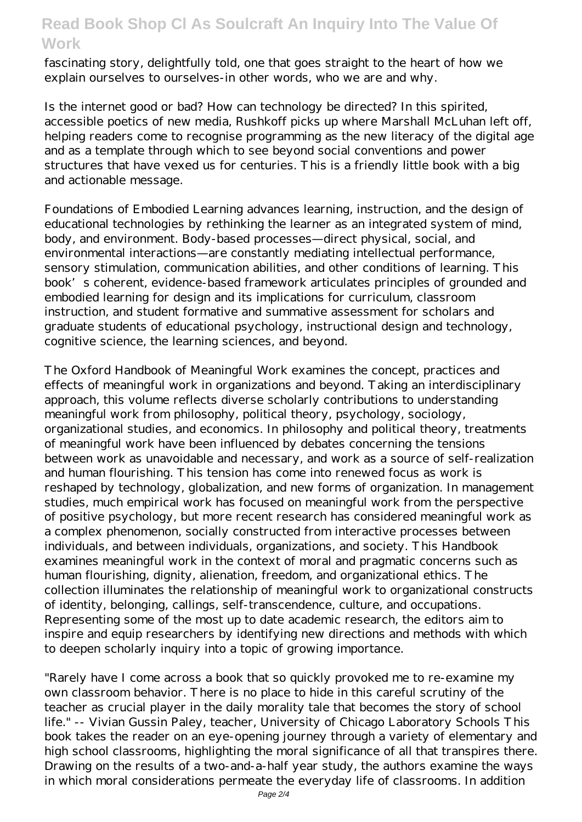fascinating story, delightfully told, one that goes straight to the heart of how we explain ourselves to ourselves-in other words, who we are and why.

Is the internet good or bad? How can technology be directed? In this spirited, accessible poetics of new media, Rushkoff picks up where Marshall McLuhan left off, helping readers come to recognise programming as the new literacy of the digital age and as a template through which to see beyond social conventions and power structures that have vexed us for centuries. This is a friendly little book with a big and actionable message.

Foundations of Embodied Learning advances learning, instruction, and the design of educational technologies by rethinking the learner as an integrated system of mind, body, and environment. Body-based processes—direct physical, social, and environmental interactions—are constantly mediating intellectual performance, sensory stimulation, communication abilities, and other conditions of learning. This book's coherent, evidence-based framework articulates principles of grounded and embodied learning for design and its implications for curriculum, classroom instruction, and student formative and summative assessment for scholars and graduate students of educational psychology, instructional design and technology, cognitive science, the learning sciences, and beyond.

The Oxford Handbook of Meaningful Work examines the concept, practices and effects of meaningful work in organizations and beyond. Taking an interdisciplinary approach, this volume reflects diverse scholarly contributions to understanding meaningful work from philosophy, political theory, psychology, sociology, organizational studies, and economics. In philosophy and political theory, treatments of meaningful work have been influenced by debates concerning the tensions between work as unavoidable and necessary, and work as a source of self-realization and human flourishing. This tension has come into renewed focus as work is reshaped by technology, globalization, and new forms of organization. In management studies, much empirical work has focused on meaningful work from the perspective of positive psychology, but more recent research has considered meaningful work as a complex phenomenon, socially constructed from interactive processes between individuals, and between individuals, organizations, and society. This Handbook examines meaningful work in the context of moral and pragmatic concerns such as human flourishing, dignity, alienation, freedom, and organizational ethics. The collection illuminates the relationship of meaningful work to organizational constructs of identity, belonging, callings, self-transcendence, culture, and occupations. Representing some of the most up to date academic research, the editors aim to inspire and equip researchers by identifying new directions and methods with which to deepen scholarly inquiry into a topic of growing importance.

"Rarely have I come across a book that so quickly provoked me to re-examine my own classroom behavior. There is no place to hide in this careful scrutiny of the teacher as crucial player in the daily morality tale that becomes the story of school life." -- Vivian Gussin Paley, teacher, University of Chicago Laboratory Schools This book takes the reader on an eye-opening journey through a variety of elementary and high school classrooms, highlighting the moral significance of all that transpires there. Drawing on the results of a two-and-a-half year study, the authors examine the ways in which moral considerations permeate the everyday life of classrooms. In addition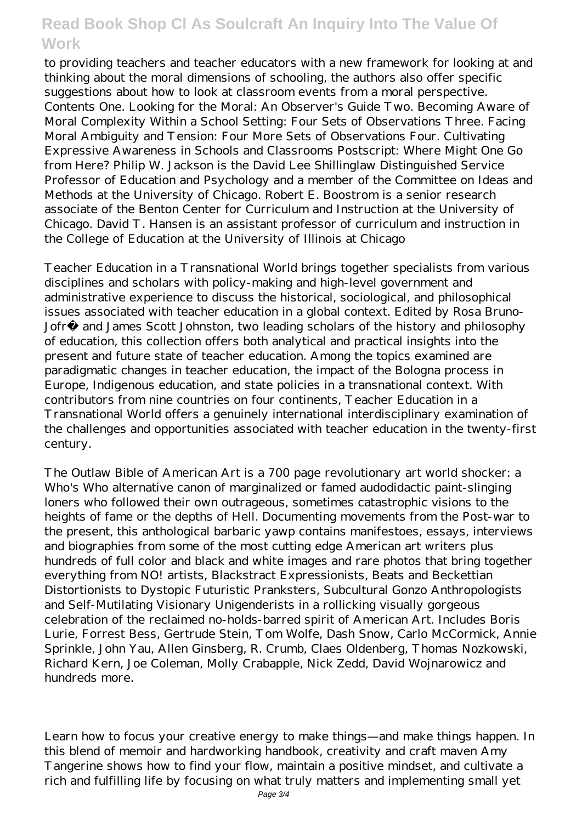to providing teachers and teacher educators with a new framework for looking at and thinking about the moral dimensions of schooling, the authors also offer specific suggestions about how to look at classroom events from a moral perspective. Contents One. Looking for the Moral: An Observer's Guide Two. Becoming Aware of Moral Complexity Within a School Setting: Four Sets of Observations Three. Facing Moral Ambiguity and Tension: Four More Sets of Observations Four. Cultivating Expressive Awareness in Schools and Classrooms Postscript: Where Might One Go from Here? Philip W. Jackson is the David Lee Shillinglaw Distinguished Service Professor of Education and Psychology and a member of the Committee on Ideas and Methods at the University of Chicago. Robert E. Boostrom is a senior research associate of the Benton Center for Curriculum and Instruction at the University of Chicago. David T. Hansen is an assistant professor of curriculum and instruction in the College of Education at the University of Illinois at Chicago

Teacher Education in a Transnational World brings together specialists from various disciplines and scholars with policy-making and high-level government and administrative experience to discuss the historical, sociological, and philosophical issues associated with teacher education in a global context. Edited by Rosa Bruno-Jofré and James Scott Johnston, two leading scholars of the history and philosophy of education, this collection offers both analytical and practical insights into the present and future state of teacher education. Among the topics examined are paradigmatic changes in teacher education, the impact of the Bologna process in Europe, Indigenous education, and state policies in a transnational context. With contributors from nine countries on four continents, Teacher Education in a Transnational World offers a genuinely international interdisciplinary examination of the challenges and opportunities associated with teacher education in the twenty-first century.

The Outlaw Bible of American Art is a 700 page revolutionary art world shocker: a Who's Who alternative canon of marginalized or famed audodidactic paint-slinging loners who followed their own outrageous, sometimes catastrophic visions to the heights of fame or the depths of Hell. Documenting movements from the Post-war to the present, this anthological barbaric yawp contains manifestoes, essays, interviews and biographies from some of the most cutting edge American art writers plus hundreds of full color and black and white images and rare photos that bring together everything from NO! artists, Blackstract Expressionists, Beats and Beckettian Distortionists to Dystopic Futuristic Pranksters, Subcultural Gonzo Anthropologists and Self-Mutilating Visionary Unigenderists in a rollicking visually gorgeous celebration of the reclaimed no-holds-barred spirit of American Art. Includes Boris Lurie, Forrest Bess, Gertrude Stein, Tom Wolfe, Dash Snow, Carlo McCormick, Annie Sprinkle, John Yau, Allen Ginsberg, R. Crumb, Claes Oldenberg, Thomas Nozkowski, Richard Kern, Joe Coleman, Molly Crabapple, Nick Zedd, David Wojnarowicz and hundreds more.

Learn how to focus your creative energy to make things—and make things happen. In this blend of memoir and hardworking handbook, creativity and craft maven Amy Tangerine shows how to find your flow, maintain a positive mindset, and cultivate a rich and fulfilling life by focusing on what truly matters and implementing small yet